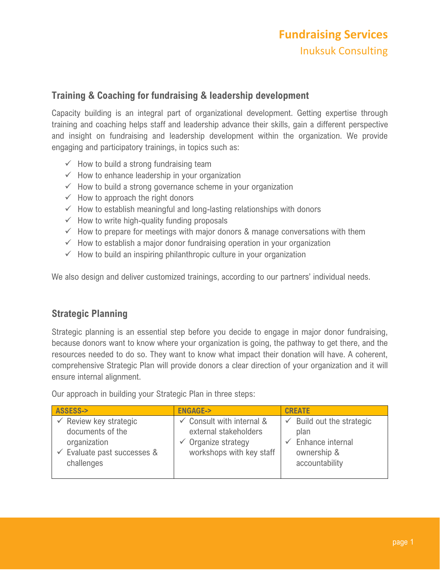### **Training & Coaching for fundraising & leadership development**

Capacity building is an integral part of organizational development. Getting expertise through training and coaching helps staff and leadership advance their skills, gain a different perspective and insight on fundraising and leadership development within the organization. We provide engaging and participatory trainings, in topics such as:

- $\checkmark$  How to build a strong fundraising team
- $\checkmark$  How to enhance leadership in your organization
- $\checkmark$  How to build a strong governance scheme in your organization
- $\checkmark$  How to approach the right donors
- $\checkmark$  How to establish meaningful and long-lasting relationships with donors
- $\checkmark$  How to write high-quality funding proposals
- $\checkmark$  How to prepare for meetings with major donors & manage conversations with them
- $\checkmark$  How to establish a major donor fundraising operation in your organization
- $\checkmark$  How to build an inspiring philanthropic culture in your organization

We also design and deliver customized trainings, according to our partners' individual needs.

### **Strategic Planning**

Strategic planning is an essential step before you decide to engage in major donor fundraising, because donors want to know where your organization is going, the pathway to get there, and the resources needed to do so. They want to know what impact their donation will have. A coherent, comprehensive Strategic Plan will provide donors a clear direction of your organization and it will ensure internal alignment.

Our approach in building your Strategic Plan in three steps:

| ASSESS->                                                                                                                      | <b>ENGAGE-&gt;</b>                                                                                                          | <b>CREATE</b>                                                                        |
|-------------------------------------------------------------------------------------------------------------------------------|-----------------------------------------------------------------------------------------------------------------------------|--------------------------------------------------------------------------------------|
| $\checkmark$ Review key strategic<br>documents of the<br>organization<br>$\checkmark$ Evaluate past successes &<br>challenges | $\checkmark$ Consult with internal &<br>external stakeholders<br>$\checkmark$ Organize strategy<br>workshops with key staff | Build out the strategic<br>plan<br>Enhance internal<br>ownership &<br>accountability |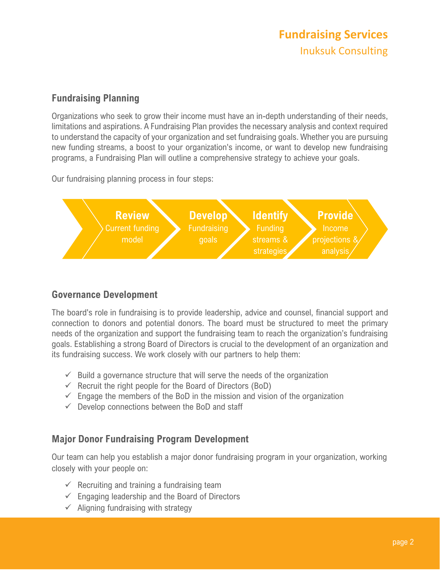# **Fundraising Services** Inuksuk Consulting

## **Fundraising Planning**

Organizations who seek to grow their income must have an in-depth understanding of their needs, limitations and aspirations. A Fundraising Plan provides the necessary analysis and context required to understand the capacity of your organization and set fundraising goals. Whether you are pursuing new funding streams, a boost to your organization's income, or want to develop new fundraising programs, a Fundraising Plan will outline a comprehensive strategy to achieve your goals.

Our fundraising planning process in four steps:



# **Governance Development**

The board's role in fundraising is to provide leadership, advice and counsel, financial support and connection to donors and potential donors. The board must be structured to meet the primary needs of the organization and support the fundraising team to reach the organization's fundraising goals. Establishing a strong Board of Directors is crucial to the development of an organization and its fundraising success. We work closely with our partners to help them:

- $\checkmark$  Build a governance structure that will serve the needs of the organization
- $\checkmark$  Recruit the right people for the Board of Directors (BoD)
- $\checkmark$  Engage the members of the BoD in the mission and vision of the organization
- $\checkmark$  Develop connections between the BoD and staff

# **Major Donor Fundraising Program Development**

Our team can help you establish a major donor fundraising program in your organization, working closely with your people on:

- $\checkmark$  Recruiting and training a fundraising team
- $\checkmark$  Engaging leadership and the Board of Directors
- $\checkmark$  Aligning fundraising with strategy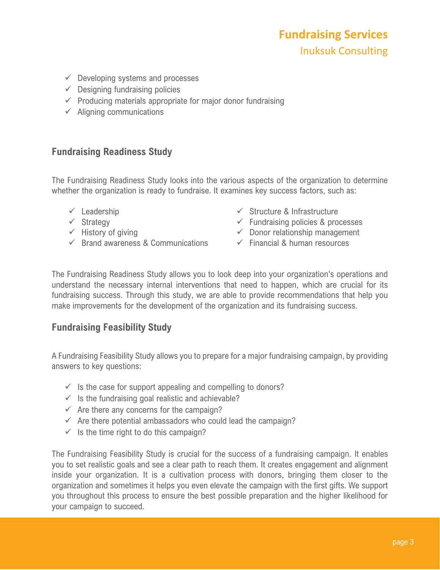- $\checkmark$  Developing systems and processes
- $\checkmark$  Designing fundraising policies
- $\checkmark$  Producing materials appropriate for major donor fundraising
- $\checkmark$  Aligning communications

#### **Fundraising Readiness Study**

The Fundraising Readiness Study looks into the various aspects of the organization to determine whether the organization is ready to fundraise. It examines key success factors, such as:

- $\checkmark$  Leadership
- $\checkmark$  Strategy
- $\checkmark$  History of giving
- $\checkmark$  Brand awareness & Communications
- $\checkmark$  Structure & Infrastructure
- $\checkmark$  Fundraising policies & processes
- $\checkmark$  Donor relationship management
- $\checkmark$  Financial & human resources

The Fundraising Readiness Study allows you to look deep into your organization's operations and understand the necessary internal interventions that need to happen, which are crucial for its fundraising success. Through this study, we are able to provide recommendations that help you make improvements for the development of the organization and its fundraising success.

### **Fundraising Feasibility Study**

A Fundraising Feasibility Study allows you to prepare for a major fundraising campaign, by providing answers to key questions:

- $\checkmark$  is the case for support appealing and compelling to donors?
- $\checkmark$  Is the fundraising goal realistic and achievable?
- $\checkmark$  Are there any concerns for the campaign?
- $\checkmark$  Are there potential ambassadors who could lead the campaign?
- $\checkmark$  Is the time right to do this campaign?

The Fundraising Feasibility Study is crucial for the success of a fundraising campaign. It enables you to set realistic goals and see a clear path to reach them. It creates engagement and alignment inside your organization. It is a cultivation process with donors, bringing them closer to the organization and sometimes it helps you even elevate the campaign with the first gifts. We support you throughout this process to ensure the best possible preparation and the higher likelihood for your campaign to succeed.